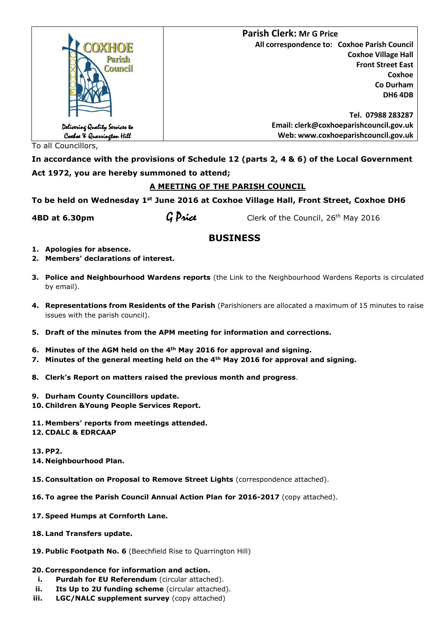|                                                             | <b>Parish Clerk: Mr G Price</b>              |
|-------------------------------------------------------------|----------------------------------------------|
| COXHOE                                                      | All correspondence to: Coxhoe Parish Council |
| Parish                                                      | <b>Coxhoe Village Hall</b>                   |
| <b>Council</b>                                              | <b>Front Street East</b>                     |
|                                                             | Coxhoe                                       |
|                                                             | Co Durham                                    |
|                                                             | <b>DH6 4DB</b>                               |
|                                                             |                                              |
|                                                             | Tel. 07988 283287                            |
|                                                             | Email: clerk@coxhoeparishcouncil.gov.uk      |
| Delivering Quality Services to<br>Coxboe X Quarrington Hill | Web: www.coxhoeparishcouncil.gov.uk          |

To all Councillors,

**In accordance with the provisions of Schedule 12 (parts 2, 4 & 6) of the Local Government Act 1972, you are hereby summoned to attend;**

# **A MEETING OF THE PARISH COUNCIL**

**To be held on Wednesday 1st June 2016 at Coxhoe Village Hall, Front Street, Coxhoe DH6** 

**4BD at 6.30pm**  $\alpha$  **G Price** Clerk of the Council, 26<sup>th</sup> May 2016

# **BUSINESS**

- **1. Apologies for absence.**
- **2. Members' declarations of interest.**
- **3. Police and Neighbourhood Wardens reports** (the Link to the Neighbourhood Wardens Reports is circulated by email).
- **4. Representations from Residents of the Parish** (Parishioners are allocated a maximum of 15 minutes to raise issues with the parish council).
- **5. Draft of the minutes from the APM meeting for information and corrections.**
- **6. Minutes of the AGM held on the 4th May 2016 for approval and signing.**
- **7. Minutes of the general meeting held on the 4th May 2016 for approval and signing.**
- **8. Clerk's Report on matters raised the previous month and progress**.
- **9. Durham County Councillors update.**
- **10. Children &Young People Services Report.**
- **11. Members' reports from meetings attended.**
- **12. CDALC & EDRCAAP**

**13. PP2.**

- **14. Neighbourhood Plan.**
- **15. Consultation on Proposal to Remove Street Lights** (correspondence attached).
- **16. To agree the Parish Council Annual Action Plan for 2016-2017** (copy attached).
- **17. Speed Humps at Cornforth Lane.**
- **18. Land Transfers update.**
- **19. Public Footpath No. 6** (Beechfield Rise to Quarrington Hill)

## **20. Correspondence for information and action.**

- **i. Purdah for EU Referendum** (circular attached).
- **ii.** Its Up to 2U funding scheme (circular attached).
- **iii.** LGC/NALC supplement survey (copy attached)